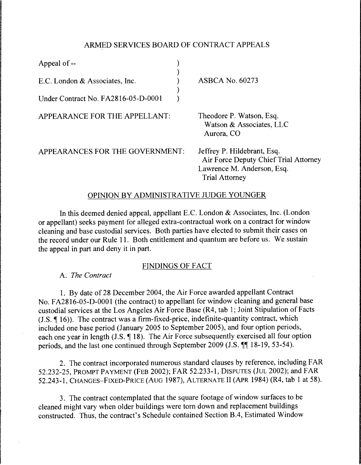## ARMED SERVICES BOARD OF CONTRACT APPEALS

| Appeal of --                        |                                                                                                                             |
|-------------------------------------|-----------------------------------------------------------------------------------------------------------------------------|
| E.C. London & Associates, Inc.      | <b>ASBCA No. 60273</b>                                                                                                      |
| Under Contract No. FA2816-05-D-0001 |                                                                                                                             |
| APPEARANCE FOR THE APPELLANT:       | Theodore P. Watson, Esq.<br>Watson & Associates, LLC<br>Aurora, CO                                                          |
| APPEARANCES FOR THE GOVERNMENT:     | Jeffrey P. Hildebrant, Esq.<br>Air Force Deputy Chief Trial Attorney<br>Lawrence M. Anderson, Esq.<br><b>Trial Attorney</b> |

## OPINION BY ADMINISTRATIVE JUDGE YOUNGER

In this deemed denied appeal, appellant E.C. London & Associates, Inc. (London or appellant) seeks payment for alleged extra-contractual work on a contract for window cleaning and base custodial services. Both parties have elected to submit their cases on the record under our Rule 11. Both entitlement and quantum are before us. We sustain the appeal in part and deny it in part.

## FINDINGS OF FACT

A. *The Contract* 

1. By date of 28 December 2004, the Air Force awarded appellant Contract No. FA28l6-05-D-OOO1 (the contract) to appellant for window cleaning and general base custodial services at the Los Angeles Air Force Base (R4, tab 1; Joint Stipulation of Facts (J.S.  $\P$  16)). The contract was a firm-fixed-price, indefinite-quantity contract, which included one base period (January 2005 to September 2005), and four option periods, each one year in length (J.S.  $\P$  18). The Air Force subsequently exercised all four option periods, and the last one continued through September 2009 (J.S.  $\P$  $\P$  18-19, 53-54).

2. The contract incorporated numerous standard clauses by reference, including FAR 52.232-25, PROMPT PAYMENT (FEB 2002); FAR 52.233-1, DISPUTES (JUL 2002); and FAR 52.243-1, CHANGES-FIXED-PRICE (AUG 1987), ALTERNATE II (APR 1984) (R4, tab 1 at 58).

3. The contract contemplated that the square footage of window surfaces to be cleaned might vary when older buildings were tom down and replacement buildings constructed. Thus, the contract's Schedule contained Section B.4, Estimated Window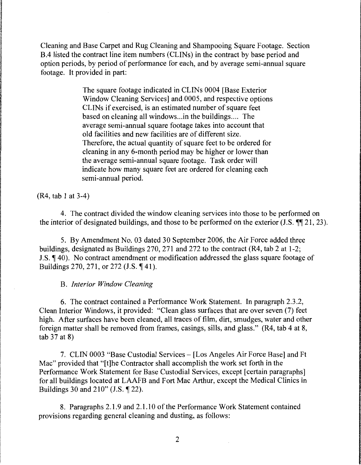Cleaning and Base Carpet and Rug Cleaning and Shampooing Square Footage. Section B.4 listed the contract line item numbers (CLINs) in the contract by base period and option periods, by period of performance for each, and by average semi-annual square footage. It provided in part:

> The square footage indicated in CLINs 0004 [Base Exterior Window Cleaning Services] and.0005, and respective options CLINs if exercised, is an estimated number of square feet based on cleaning all windows...in the buildings.... The average semi-annual square footage takes into account that old facilities and new facilities are of different size. Therefore, the actual quantity of square feet to be ordered for cleaning in any 6-month period may be higher or lower than the average semi-annual square footage. Task order will indicate how many square feet are ordered for cleaning each semi-annual period.

(R4, tab 1 at 3-4)

4. The contract divided the window cleaning services into those to be performed on the interior of designated buildings, and those to be performed on the exterior (J.S.  $\P$  $\uparrow$  21, 23).

5. By Amendment No. 03 dated 30 September 2006, the Air Force added three buildings, designated as Buildings 270, 271 and 272 to the contract (R4, tab 2 at 1-2; J.S.  $\P$  40). No contract amendment or modification addressed the glass square footage of Buildings 270, 271, or 272 (J.S. ¶ 41).

## B. *Interior Window Cleaning*

6. The contract contained a Performance Work Statement. In paragraph 2.3.2, Clean Interior Windows, it provided: "Clean glass surfaces that are over seven (7) feet high. After surfaces have been cleaned, all traces of film, dirt, smudges, water and other foreign matter shall be removed from frames, casings, sills, and glass." (R4, tab 4 at 8, tab  $37$  at 8)

7. CLIN 0003 "Base Custodial Services - [Los Angeles Air Force Base] and Ft Mac" provided that "[t]he Contractor shall accomplish the work set forth in the Performance Work Statement for Base Custodial Services, except [certain paragraphs] for all buildings located at LAAFB and Fort Mac Arthur, except the Medical Clinics in Buildings 30 and 210" (J.S.  $\P$  22).

8. Paragraphs 2.1.9 and 2.1.10 of the Performance Work Statement contained provisions regarding general cleaning and dusting, as follows: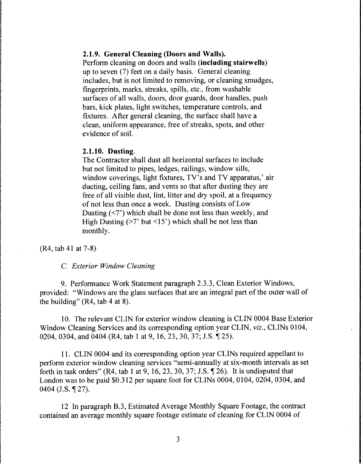## **2.1.9. General Cleaning (Doors and Walls).**

Perform cleaning on doors and walls **(including stairwells)**  up to seven (7) feet on a daily basis. General cleaning includes, but is not limited to removing, or cleaning smudges, fingerprints, marks, streaks, spills, etc., from washable surfaces of all walls, doors, door guards, door handles, push bars, kick plates, light switches, temperature controls, and fixtures. After general cleaning, the surface shall have a clean, uniform appearance, free of streaks, spots, and other evidence of soil.

## **2.1.10. Dusting.**

The Contractor shall dust all horizontal surfaces to include but not limited to pipes, ledges, railings, window sills, window coverings, light fixtures, TV's and TV apparatus,' air ducting, ceiling fans, and vents so that after dusting they are free of all visible dust, lint, litter and dry spoil, at a frequency of not less than once a week. Dusting consists of Low Dusting  $\left\langle \langle 7 \rangle \right\rangle$  which shall be done not less than weekly, and High Dusting ( $>7$ ' but  $<15$ ') which shall be not less than monthly.

(R4, tab 41 at 7-8)

#### C. *Exterior Window Cleaning*

9. Performance Work Statement paragraph 2.3.3, Clean Exterior Windows, provided: "Windows are the glass surfaces that are an integral part of the outer wall of the building" (R4, tab 4 at 8).

10. The relevant CLIN for exterior window cleaning is CLIN 0004 Base Exterior Window Cleaning Services and its corresponding option year CLIN, *viz.,* CLINs 0104, 0204, 0304, and 0404 (R4, tab 1 at 9, 16, 23, 30, 37; J.S. ¶ 25).

11. CLIN 0004 and its corresponding option year CLINs required appellant to perform exterior window cleaning services "semi-annually at six-month intervals as set forth in task orders" (R4, tab **1** at 9, 16, 23, 30, 37; J.S. ~ 26). It is undisputed that London was to be paid \$0.312 per square foot for CLINs 0004, 0104, 0204, 0304, and 0404 (J.S. ¶ 27).

12 In paragraph B.3, Estimated Average Monthly Square Footage, the contract contained an average monthly square footage estimate of cleaning for CLIN 0004 of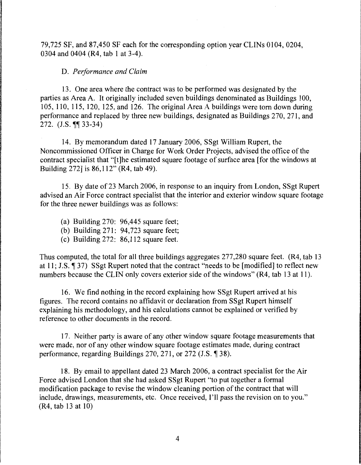79,725 SF, and 87,450 SF each for the corresponding option year CLINs 0104, 0204, 0304 and 0404 (R4, tab 1 at 3-4 ).

## D. *Performance and Claim*

13. One area where the contract was to be performed was designated by the parties as Area A. It originally included seven buildings denominated as Buildings 100, 105, 110, 115, 120, 125, and 126. The original Area A buildings were torn down during performance and replaced by three new buildings, designated as Buildings 270, 271, and 272.  $(J.S. \P\P 33-34)$ 

14. By memorandum dated 17 January 2006, SSgt William Rupert, the Noncommissioned Officer in Charge for Work Order Projects, advised the office of the contract specialist that "[t]he estimated square footage of surface area [for the windows at Building 272] is 86,112" (R4, tab 49).

15. By date of 23 March 2006, in response to an inquiry from London, SSgt Rupert advised an Air Force contract specialist that the interior and exterior window square footage for the three newer buildings was as follows:

- (a) Building 270: 96,445 square feet;
- (b) Building  $271: 94,723$  square feet;
- (c) Building 272: 86,112 square feet.

Thus computed, the total for all three buildings aggregates 277,280 square feet. (R4, tab 13 at 11; J.S.  $\P$  37) SSgt Rupert noted that the contract "needs to be [modified] to reflect new numbers because the CLIN only covers exterior side of the windows" (R4, tab 13 at 11).

16. We find nothing in the record explaining how SSgt Rupert arrived at his figures. The record contains no affidavit or declaration from SSgt Rupert himself explaining his methodology, and his calculations cannot be explained or verified by reference to other documents in the record.

17. Neither party is aware of any other window square footage measurements that were made, nor of any other window square footage estimates made, during contract performance, regarding Buildings  $270$ ,  $271$ , or  $272$  (J.S.  $\P$  38).

18. By email to appellant dated 23 March 2006, a contract specialist for the Air Force advised London that she had asked SSgt Rupert "to put together a formal modification package to revise the window cleaning portion of the contract that will include, drawings, measurements, etc. Once received, I'll pass the revision on to you." (R4, tab 13 at 10)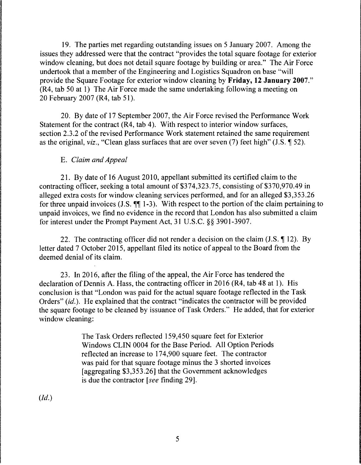19. The parties met regarding outstanding issues on 5 January 2007. Among the issues they addressed were that the contract "provides the total square footage for exterior window cleaning, but does not detail square footage by building or area." The Air Force undertook that a member of the Engineering and Logistics Squadron on base "will provide the Square Footage for exterior window cleaning by **Friday, 12 January 2007."**  (R4, tab 50 at 1) The Air Force made the same undertaking following a meeting on 20 February 2007 (R4, tab 51 ).

20. By date of 17 September 2007, the Air Force revised the Performance Work Statement for the contract  $(R4, tab 4)$ . With respect to interior window surfaces, section 2.3.2 of the revised Performance Work statement retained the same requirement as the original, *viz.*, "Clean glass surfaces that are over seven (7) feet high" (J.S.  $\parallel$  52).

# E. *Claim and Appeal*

21. By date of 16 August 2010, appellant submitted its certified claim to the contracting officer, seeking a total amount of \$374,323.75, consisting of \$370,970.49 in alleged extra costs for window cleaning services performed, and for an alleged \$3,353.26 for three unpaid invoices (J.S.  $\P\P$  1-3). With respect to the portion of the claim pertaining to unpaid invoices, we find no evidence in the record that London has also submitted a claim for interest under the Prompt Payment Act, 31 U.S.C. §§ 3901-3907.

22. The contracting officer did not render a decision on the claim (J.S.  $\P$  12). By letter dated 7 October 2015, appellant filed its notice of appeal to the Board from the deemed denial of its claim.

23. In 2016, after the filing of the appeal, the Air Force has tendered the declaration of Dennis A. Hass, the contracting officer in 2016 (R4, tab 48 at 1). His conclusion is that "London was paid for the actual square footage reflected in the Task Orders" *(id.).* He explained that the contract "indicates the contractor will be provided the square footage to be cleaned by issuance of Task Orders." He added, that for exterior window cleaning:

> The Task Orders reflected 159,450 square feet for Exterior Windows CLIN 0004 for the Base Period. All Option Periods reflected an increase to 174,900 square feet. The contractor was paid for that square footage minus the 3 shorted invoices [aggregating \$3,353.26] that the Government acknowledges is due the contractor *[see* finding 29].

*(Id.)*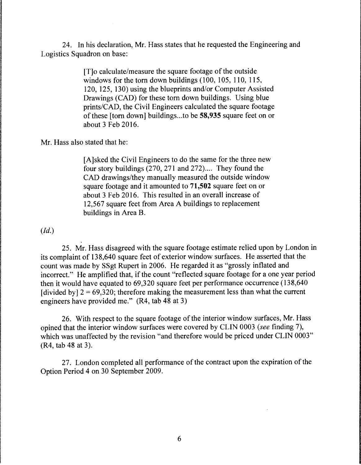24. In his declaration, Mr. Hass states that he requested the Engineering and Logistics Squadron on base:

> [T]o calculate/measure the square footage of the outside windows for the torn down buildings (100, 105, 110, 115, 120, 125, 130) using the blueprints and/or Computer Assisted Drawings (CAD) for these torn down buildings. Using blue prints/CAD, the Civil Engineers calculated the square footage of these [torn down] buildings ... to be **58,935** square feet on or about 3 Feb 2016.

Mr. Hass also stated that he:

[A]sked the Civil Engineers to do the same for the three new four story buildings (270, 271 and 272).... They found the CAD drawings/they manually measured the outside window square footage and it amounted to **71,502** square feet on or about 3 Feb 2016. This resulted in an overall increase of 12,567 square feet from Area A buildings to replacement buildings in Area B.

*(Id.)* 

25. Mr. Hass disagreed with the square footage estimate relied upon by London in its complaint of 13 8,640 square feet of exterior window surfaces. He asserted that the count was made by SSgt Rupert in 2006. He regarded it as "grossly inflated and incorrect." He amplified that, if the count "reflected square footage for a one year period then it would have equated to 69,320 square feet per performance occurrence (138,640 [divided by]  $2 = 69,320$ ; therefore making the measurement less than what the current engineers have provided me." (R4, tab 48 at 3)

26. With respect to the square footage of the interior window surfaces, Mr. Hass opined that the interior window surfaces were covered by CLIN 0003 *(see* finding 7), which was unaffected by the revision "and therefore would be priced under CLIN 0003" (R4, tab 48 at 3).

27. London completed all performance of the contract upon the expiration of the Option Period 4 on 30 September 2009.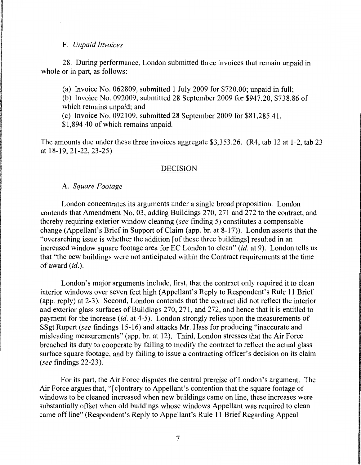#### F. *Unpaid Invoices*

28. During performance, London submitted three invoices that remain unpaid in whole or in part, as follows:

(a) Invoice No. 062809, submitted 1 July 2009 for \$720.00; unpaid in full;

(b) Invoice No. 092009, submitted 28 September 2009 for \$947.20, \$738.86 of which remains unpaid; and

(c) Invoice No. 092109, submitted 28 September 2009 for \$81,285.41,

\$1,894.40 of which remains unpaid.

The amounts due under these three invoices aggregate \$3,353.26. (R4, tab 12 at 1-2, tab 23 at 18-19, 21-22, 23-25)

## DECISION

## A. *Square Footage*

London concentrates its arguments under a single broad proposition. London contends that Amendment No. 03, adding Buildings 270, 271 and 272 to the contract, and thereby requiring exterior window cleaning *(see* finding 5) constitutes a compensable change (Appellant's Brief in Support of Claim (app. br. at 8-17)). London asserts that the "overarching issue is whether the addition [of these three buildings] resulted in an increased window square footage area for EC London to clean" *(id.* at 9). London tells us that "the new buildings were not anticipated within the Contract requirements at the time of award *(id.).* 

London's major arguments include, first, that the contract only required it to clean interior windows over seven feet high (Appellant's Reply to Respondent's Rule 11 Brief (app. reply) at 2-3). Second, London contends that the contract did not reflect the interior and exterior glass surfaces of Buildings 270, 271, and 272, and hence that it is entitled to payment for the increase *(id.* at 4-5). London strongly relies upon the measurements of SSgt Rupert *(see* findings 15-16) and attacks Mr. Hass for producing "inaccurate and misleading measurements" (app. br. at 12). Third, London stresses that the Air Force breached its duty to cooperate by failing to modify the contract to reflect the actual glass surface square footage, and by failing to issue a contracting officer's decision on its claim *(see* findings 22-23).

For its part, the Air Force disputes the central premise of London's argument. The Air Force argues that, "[c]ontrary to Appellant's contention that the square footage of windows to be cleaned increased when new buildings came on line, these increases were substantially offset when old buildings whose windows Appellant was required to clean came off line" (Respondent's Reply to Appellant's Rule 11 Brief Regarding Appeal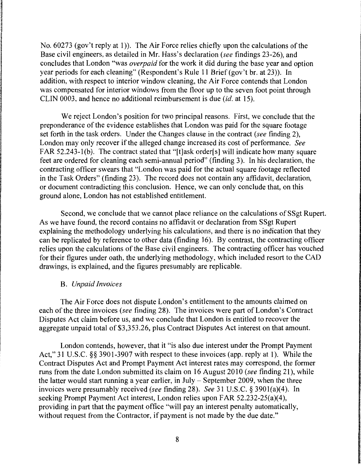No. 60273 (gov't reply at 1)). The Air Force relies chiefly upon the calculations of the Base civil engineers, as detailed in Mr. Hass's declaration *(see* findings 23-26), and concludes that London "was *overpaid* for the work it did during the base year and option year periods for each cleaning" (Respondent's Rule 11 Brief (gov't br. at 23)). In addition, with respect to interior window cleaning, the Air Force contends that London was compensated for interior windows from the floor up to the seven foot point through CLIN 0003, and hence no additional reimbursement is due *(id.* at 15).

We reject London's position for two principal reasons. First, we conclude that the preponderance of the evidence establishes that London was paid for the square footage set forth in the task orders. Under the Changes clause in the contract *(see* finding 2), London may only recover if the alleged change increased its cost of performance. *See*  FAR 52.243-l(b). The contract stated that "[t]ask order[s] will indicate how many square feet are ordered for cleaning each semi-annual period" (finding 3). In his declaration, the contracting officer swears that "London was paid for the actual square footage reflected in the Task Orders" (finding 23). The record does not contain any affidavit, declaration, or document contradicting this conclusion. Hence, we can only conclude that, on this ground alone, London has not established entitlement.

Second, we conclude that we cannot place reliance on the calculations of SSgt Rupert. As we have found, the record contains no affidavit or declaration from SSgt Rupert explaining the methodology underlying his calculations, and there is no indication that they can be replicated by reference to other data (finding 16). By contrast, the contracting officer relies upon the calculations of the Base civil engineers. The contracting officer has vouched for their figures under oath, the underlying methodology, which included resort to the CAD drawings, is explained, and the figures presumably are replicable.

## B. *Unpaid Invoices*

The Air Force does not dispute London's entitlement to the amounts claimed on each of the three invoices *(see* finding 28). The invoices were part of London's Contract Disputes Act claim before us, and we conclude that London is entitled to recover the aggregate unpaid total of \$3,353.26, plus Contract Disputes Act interest on that amount.

London contends, however, that it "is also due interest under the Prompt Payment Act," 31 U.S.C. §§ 3901-3907 with respect to these invoices (app. reply at 1). While the Contract Disputes Act and Prompt Payment Act interest rates may correspond, the former runs from the date London submitted its claim on 16 August 2010 *(see* finding 21 ), while the latter would start running a year earlier, in July - September 2009, when the three invoices were presumably received *(see* finding 28). *See* 31 U.S.C. § 3901(a)(4). In seeking Prompt Payment Act interest, London relies upon FAR 52.232-25(a)(4), providing in part that the payment office "will pay an interest penalty automatically, without request from the Contractor, if payment is not made by the due date."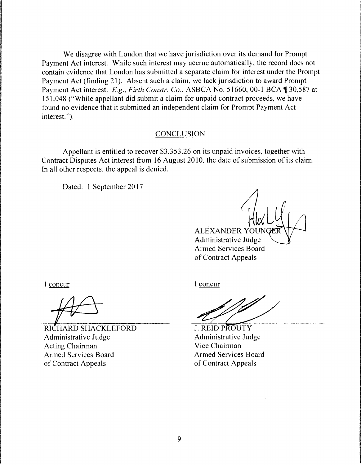We disagree with London that we have jurisdiction over its demand for Prompt Payment Act interest. While such interest may accrue automatically, the record does not contain evidence that London has submitted a separate claim for interest under the Prompt Payment Act (finding 21 ). Absent such a claim, we lack jurisdiction to award Prompt Payment Act interest. *E.g., Firth Constr. Co.,* ASBCA No. 51660, 00-1 BCA ¶ 30,587 at 151.048 ("While appellant did submit a claim for unpaid contract proceeds, we have found no evidence that it submitted an independent claim for Prompt Payment Act interest.'').

## CONCLUSION

Appellant is entitled to recover \$3,353.26 on its unpaid invoices. together with Contract Disputes Act interest from 16 August 2010, the date of submission of its claim. In all other respects, the appeal is denied.

Dated: 1 September 2017

ALEXANDER YOUN Administrative Judge Armed Services Board of Contract Appeals

I concur

RICHARD SHACKLEFORD Administrative Judge Acting Chairman Armed Services Board of Contract Appeals

I concur

**J. REID PROUTY** Administrative Judge Vice Chairman Armed Services Board of Contract Appeals